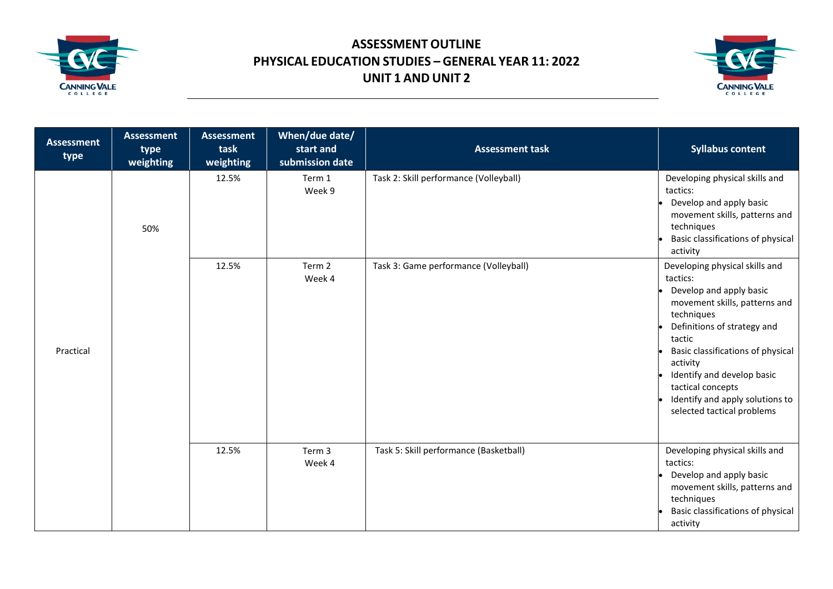



| <b>Assessment</b><br>type | <b>Assessment</b><br>type<br>weighting | <b>Assessment</b><br>task<br>weighting | When/due date/<br>start and<br>submission date | <b>Assessment task</b>                 | <b>Syllabus content</b>                                                                                                                                                                                                                                                                                                            |
|---------------------------|----------------------------------------|----------------------------------------|------------------------------------------------|----------------------------------------|------------------------------------------------------------------------------------------------------------------------------------------------------------------------------------------------------------------------------------------------------------------------------------------------------------------------------------|
| Practical                 | 50%                                    | 12.5%                                  | Term 1<br>Week 9                               | Task 2: Skill performance (Volleyball) | Developing physical skills and<br>tactics:<br>Develop and apply basic<br>movement skills, patterns and<br>techniques<br>Basic classifications of physical<br>activity                                                                                                                                                              |
|                           |                                        | 12.5%                                  | Term 2<br>Week 4                               | Task 3: Game performance (Volleyball)  | Developing physical skills and<br>tactics:<br>Develop and apply basic<br>movement skills, patterns and<br>techniques<br>Definitions of strategy and<br>tactic<br>Basic classifications of physical<br>activity<br>Identify and develop basic<br>tactical concepts<br>Identify and apply solutions to<br>selected tactical problems |
|                           |                                        | 12.5%                                  | Term 3<br>Week 4                               | Task 5: Skill performance (Basketball) | Developing physical skills and<br>tactics:<br>Develop and apply basic<br>movement skills, patterns and<br>techniques<br>Basic classifications of physical<br>activity                                                                                                                                                              |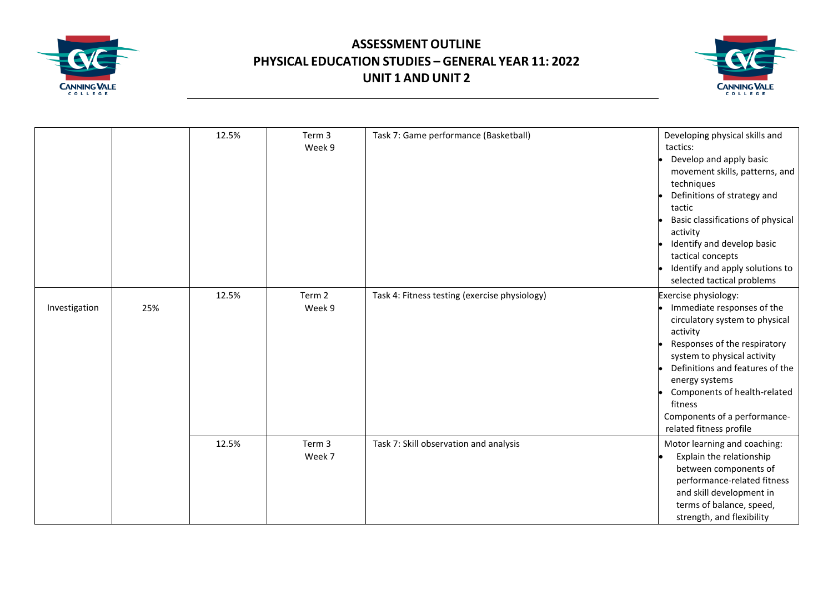



|               |     | 12.5% | Term 3<br>Week 9 | Task 7: Game performance (Basketball)         | Developing physical skills and<br>tactics:<br>Develop and apply basic<br>movement skills, patterns, and<br>techniques<br>Definitions of strategy and<br>tactic<br>Basic classifications of physical<br>activity<br>Identify and develop basic<br>tactical concepts<br>Identify and apply solutions to<br>selected tactical problems |
|---------------|-----|-------|------------------|-----------------------------------------------|-------------------------------------------------------------------------------------------------------------------------------------------------------------------------------------------------------------------------------------------------------------------------------------------------------------------------------------|
| Investigation | 25% | 12.5% | Term 2<br>Week 9 | Task 4: Fitness testing (exercise physiology) | Exercise physiology:<br>Immediate responses of the<br>circulatory system to physical<br>activity<br>Responses of the respiratory<br>system to physical activity<br>Definitions and features of the<br>energy systems<br>Components of health-related<br>fitness<br>Components of a performance-<br>related fitness profile          |
|               |     | 12.5% | Term 3<br>Week 7 | Task 7: Skill observation and analysis        | Motor learning and coaching:<br>Explain the relationship<br>between components of<br>performance-related fitness<br>and skill development in<br>terms of balance, speed,<br>strength, and flexibility                                                                                                                               |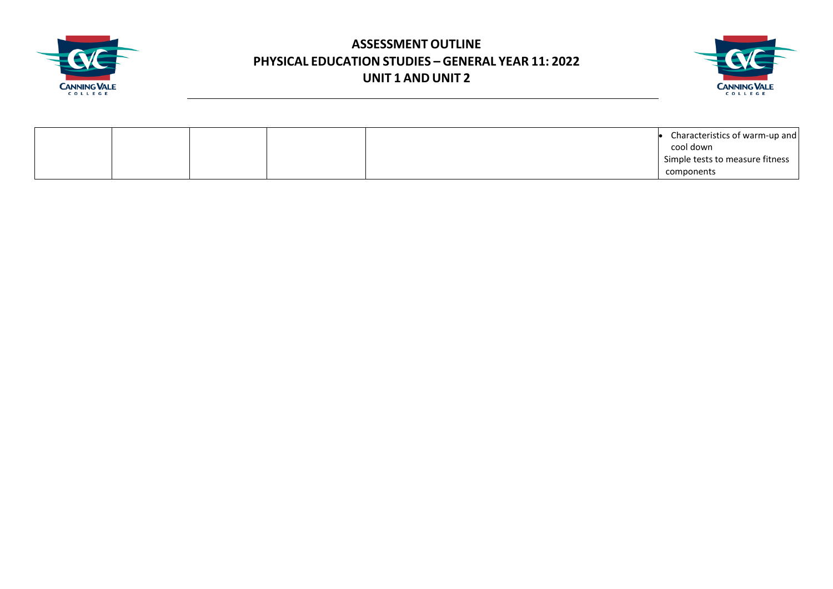



|  |  | Characteristics of warm-up and  |
|--|--|---------------------------------|
|  |  | cool down                       |
|  |  | Simple tests to measure fitness |
|  |  | components                      |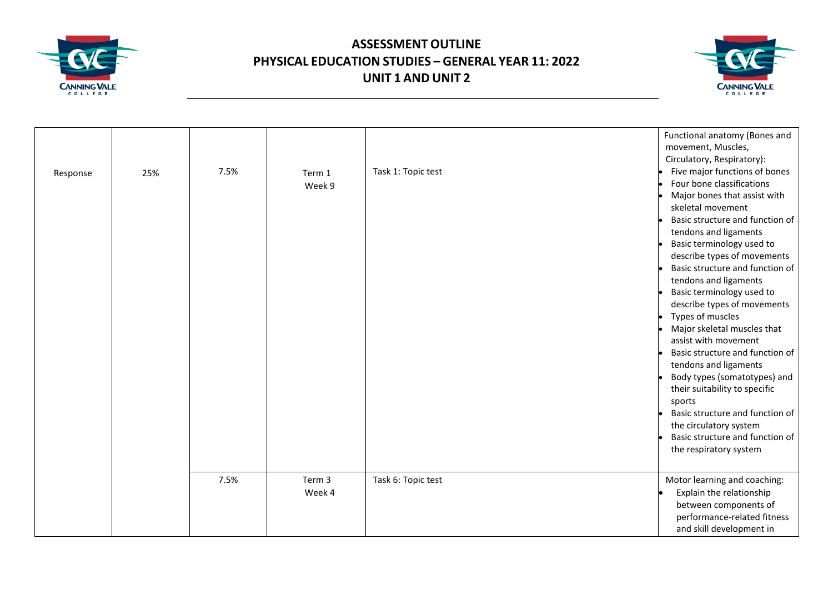



|          |     |      |        |                    | Functional anatomy (Bones and<br>movement, Muscles,<br>Circulatory, Respiratory): |
|----------|-----|------|--------|--------------------|-----------------------------------------------------------------------------------|
|          |     | 7.5% |        | Task 1: Topic test | Five major functions of bones                                                     |
| Response | 25% |      | Term 1 |                    | Four bone classifications                                                         |
|          |     |      | Week 9 |                    | Major bones that assist with                                                      |
|          |     |      |        |                    | skeletal movement                                                                 |
|          |     |      |        |                    | Basic structure and function of                                                   |
|          |     |      |        |                    | tendons and ligaments                                                             |
|          |     |      |        |                    | Basic terminology used to                                                         |
|          |     |      |        |                    | describe types of movements                                                       |
|          |     |      |        |                    | Basic structure and function of                                                   |
|          |     |      |        |                    | tendons and ligaments                                                             |
|          |     |      |        |                    | Basic terminology used to                                                         |
|          |     |      |        |                    | describe types of movements                                                       |
|          |     |      |        |                    | Types of muscles                                                                  |
|          |     |      |        |                    | Major skeletal muscles that                                                       |
|          |     |      |        |                    | assist with movement                                                              |
|          |     |      |        |                    | Basic structure and function of                                                   |
|          |     |      |        |                    | tendons and ligaments                                                             |
|          |     |      |        |                    | Body types (somatotypes) and                                                      |
|          |     |      |        |                    | their suitability to specific                                                     |
|          |     |      |        |                    | sports                                                                            |
|          |     |      |        |                    | Basic structure and function of                                                   |
|          |     |      |        |                    | the circulatory system                                                            |
|          |     |      |        |                    | Basic structure and function of                                                   |
|          |     |      |        |                    | the respiratory system                                                            |
|          |     |      |        |                    |                                                                                   |
|          |     | 7.5% | Term 3 | Task 6: Topic test | Motor learning and coaching:                                                      |
|          |     |      | Week 4 |                    | Explain the relationship                                                          |
|          |     |      |        |                    | between components of                                                             |
|          |     |      |        |                    | performance-related fitness                                                       |
|          |     |      |        |                    | and skill development in                                                          |